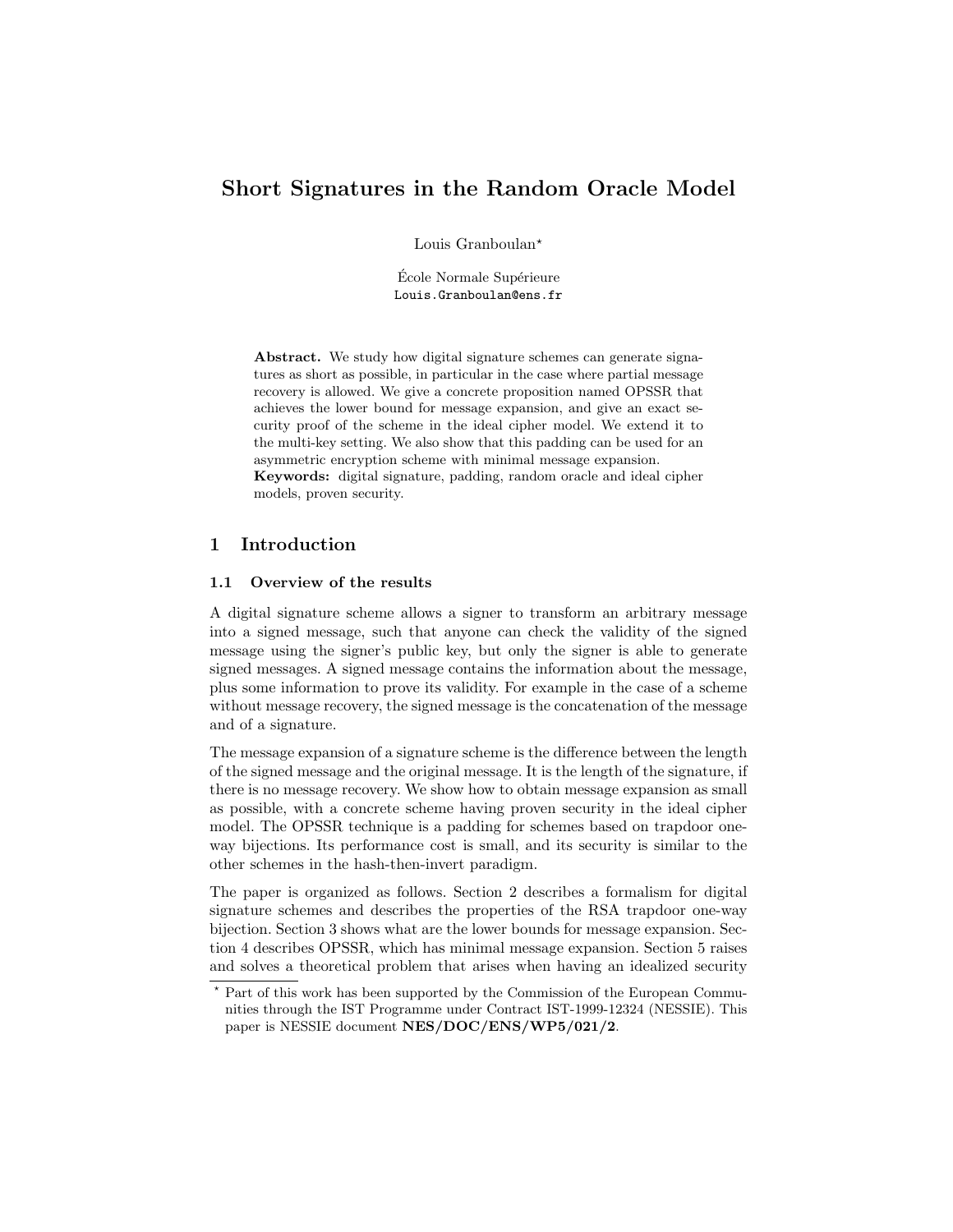# Short Signatures in the Random Oracle Model

Louis Granboulan<sup>\*</sup>

Ecole Normale Supérieure Louis.Granboulan@ens.fr

Abstract. We study how digital signature schemes can generate signatures as short as possible, in particular in the case where partial message recovery is allowed. We give a concrete proposition named OPSSR that achieves the lower bound for message expansion, and give an exact security proof of the scheme in the ideal cipher model. We extend it to the multi-key setting. We also show that this padding can be used for an asymmetric encryption scheme with minimal message expansion. Keywords: digital signature, padding, random oracle and ideal cipher models, proven security.

# 1 Introduction

#### 1.1 Overview of the results

A digital signature scheme allows a signer to transform an arbitrary message into a signed message, such that anyone can check the validity of the signed message using the signer's public key, but only the signer is able to generate signed messages. A signed message contains the information about the message, plus some information to prove its validity. For example in the case of a scheme without message recovery, the signed message is the concatenation of the message and of a signature.

The message expansion of a signature scheme is the difference between the length of the signed message and the original message. It is the length of the signature, if there is no message recovery. We show how to obtain message expansion as small as possible, with a concrete scheme having proven security in the ideal cipher model. The OPSSR technique is a padding for schemes based on trapdoor oneway bijections. Its performance cost is small, and its security is similar to the other schemes in the hash-then-invert paradigm.

The paper is organized as follows. Section 2 describes a formalism for digital signature schemes and describes the properties of the RSA trapdoor one-way bijection. Section 3 shows what are the lower bounds for message expansion. Section 4 describes OPSSR, which has minimal message expansion. Section 5 raises and solves a theoretical problem that arises when having an idealized security

 $^{\star}$  Part of this work has been supported by the Commission of the European Communities through the IST Programme under Contract IST-1999-12324 (NESSIE). This paper is NESSIE document NES/DOC/ENS/WP5/021/2.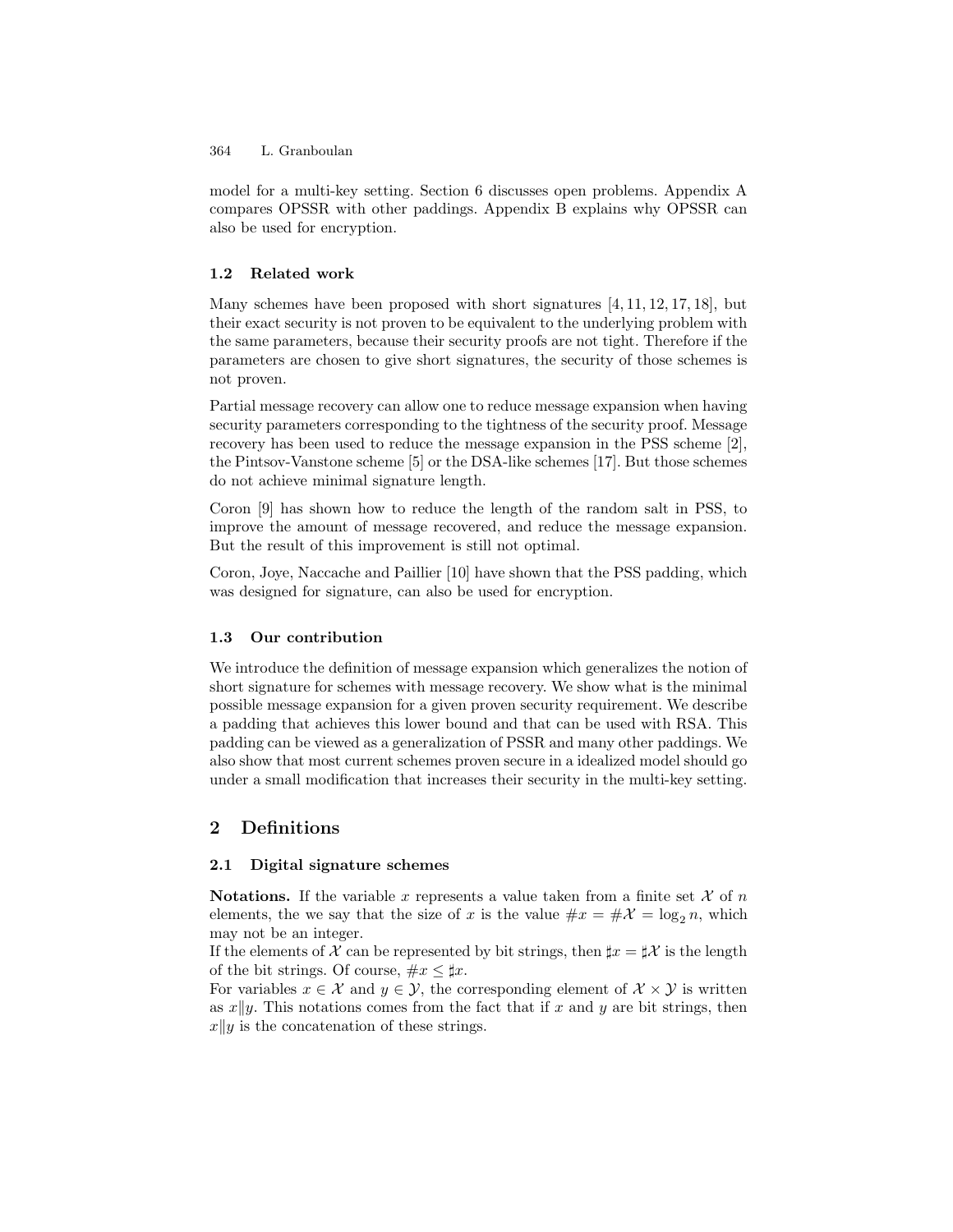model for a multi-key setting. Section 6 discusses open problems. Appendix A compares OPSSR with other paddings. Appendix B explains why OPSSR can also be used for encryption.

#### 1.2 Related work

Many schemes have been proposed with short signatures [4, 11, 12, 17, 18], but their exact security is not proven to be equivalent to the underlying problem with the same parameters, because their security proofs are not tight. Therefore if the parameters are chosen to give short signatures, the security of those schemes is not proven.

Partial message recovery can allow one to reduce message expansion when having security parameters corresponding to the tightness of the security proof. Message recovery has been used to reduce the message expansion in the PSS scheme [2], the Pintsov-Vanstone scheme [5] or the DSA-like schemes [17]. But those schemes do not achieve minimal signature length.

Coron [9] has shown how to reduce the length of the random salt in PSS, to improve the amount of message recovered, and reduce the message expansion. But the result of this improvement is still not optimal.

Coron, Joye, Naccache and Paillier [10] have shown that the PSS padding, which was designed for signature, can also be used for encryption.

#### 1.3 Our contribution

We introduce the definition of message expansion which generalizes the notion of short signature for schemes with message recovery. We show what is the minimal possible message expansion for a given proven security requirement. We describe a padding that achieves this lower bound and that can be used with RSA. This padding can be viewed as a generalization of PSSR and many other paddings. We also show that most current schemes proven secure in a idealized model should go under a small modification that increases their security in the multi-key setting.

### 2 Definitions

#### 2.1 Digital signature schemes

**Notations.** If the variable x represents a value taken from a finite set  $\mathcal X$  of n elements, the we say that the size of x is the value  $\#x = \#\mathcal{X} = \log_2 n$ , which may not be an integer.

If the elements of X can be represented by bit strings, then  $\sharp x = \sharp X$  is the length of the bit strings. Of course,  $\#x \leq \sharp x$ .

For variables  $x \in \mathcal{X}$  and  $y \in \mathcal{Y}$ , the corresponding element of  $\mathcal{X} \times \mathcal{Y}$  is written as  $x||y$ . This notations comes from the fact that if x and y are bit strings, then  $x||y$  is the concatenation of these strings.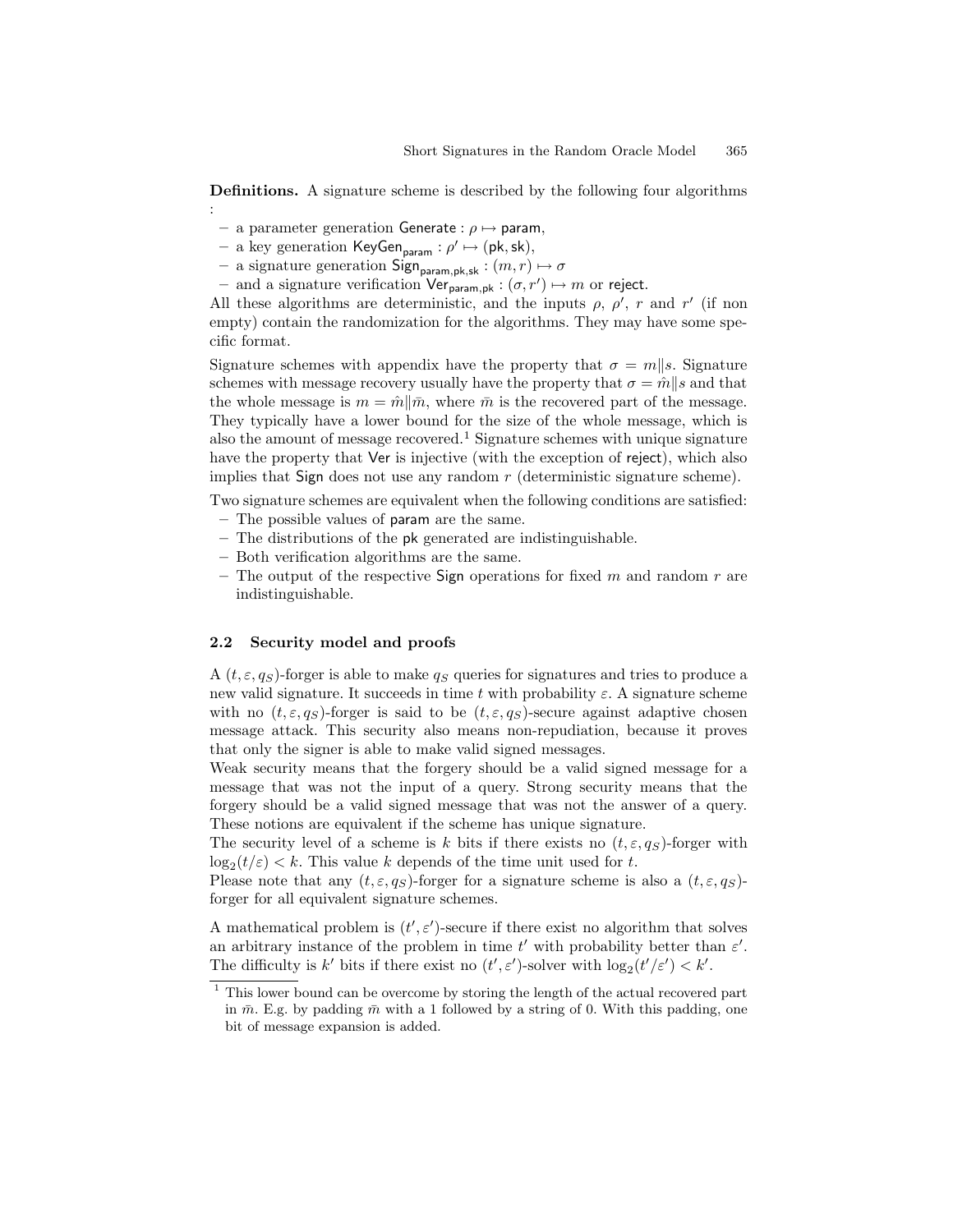Definitions. A signature scheme is described by the following four algorithms :

- a parameter generation Generate :  $\rho \mapsto$  param,
- a key generation  $\mathsf{KeyGen}_{\mathsf{param}}: \rho' \mapsto (\mathsf{pk}, \mathsf{sk}),$
- a signature generation  $\mathsf{Sign}_{\mathsf{param},\mathsf{pk},\mathsf{sk}} : (m,r) \mapsto \sigma$
- and a signature verification  $\text{Ver}_{\text{param},\text{pk}} : (\sigma, r') \mapsto m$  or reject.

All these algorithms are deterministic, and the inputs  $\rho$ ,  $\rho'$ , r and r' (if non empty) contain the randomization for the algorithms. They may have some specific format.

Signature schemes with appendix have the property that  $\sigma = m||s$ . Signature schemes with message recovery usually have the property that  $\sigma = \hat{m} \| s$  and that the whole message is  $m = \hat{m} || \bar{m}$ , where  $\bar{m}$  is the recovered part of the message. They typically have a lower bound for the size of the whole message, which is also the amount of message recovered.<sup>1</sup> Signature schemes with unique signature have the property that Ver is injective (with the exception of reject), which also implies that Sign does not use any random  $r$  (deterministic signature scheme).

Two signature schemes are equivalent when the following conditions are satisfied:

- The possible values of param are the same.
- The distributions of the pk generated are indistinguishable.
- Both verification algorithms are the same.
- The output of the respective Sign operations for fixed m and random r are indistinguishable.

#### 2.2 Security model and proofs

A  $(t, \varepsilon, q_S)$ -forger is able to make  $q_S$  queries for signatures and tries to produce a new valid signature. It succeeds in time t with probability  $\varepsilon$ . A signature scheme with no  $(t, \varepsilon, q_S)$ -forger is said to be  $(t, \varepsilon, q_S)$ -secure against adaptive chosen message attack. This security also means non-repudiation, because it proves that only the signer is able to make valid signed messages.

Weak security means that the forgery should be a valid signed message for a message that was not the input of a query. Strong security means that the forgery should be a valid signed message that was not the answer of a query. These notions are equivalent if the scheme has unique signature.

The security level of a scheme is k bits if there exists no  $(t, \varepsilon, q_S)$ -forger with  $\log_2(t/\varepsilon) < k$ . This value k depends of the time unit used for t.

Please note that any  $(t, \varepsilon, q_S)$ -forger for a signature scheme is also a  $(t, \varepsilon, q_S)$ forger for all equivalent signature schemes.

A mathematical problem is  $(t', \varepsilon')$ -secure if there exist no algorithm that solves an arbitrary instance of the problem in time  $t'$  with probability better than  $\varepsilon'$ . The difficulty is k' bits if there exist no  $(t', \varepsilon')$ -solver with  $\log_2(t'/\varepsilon') < k'$ .

 $^{\rm 1}$  This lower bound can be overcome by storing the length of the actual recovered part in  $\bar{m}$ . E.g. by padding  $\bar{m}$  with a 1 followed by a string of 0. With this padding, one bit of message expansion is added.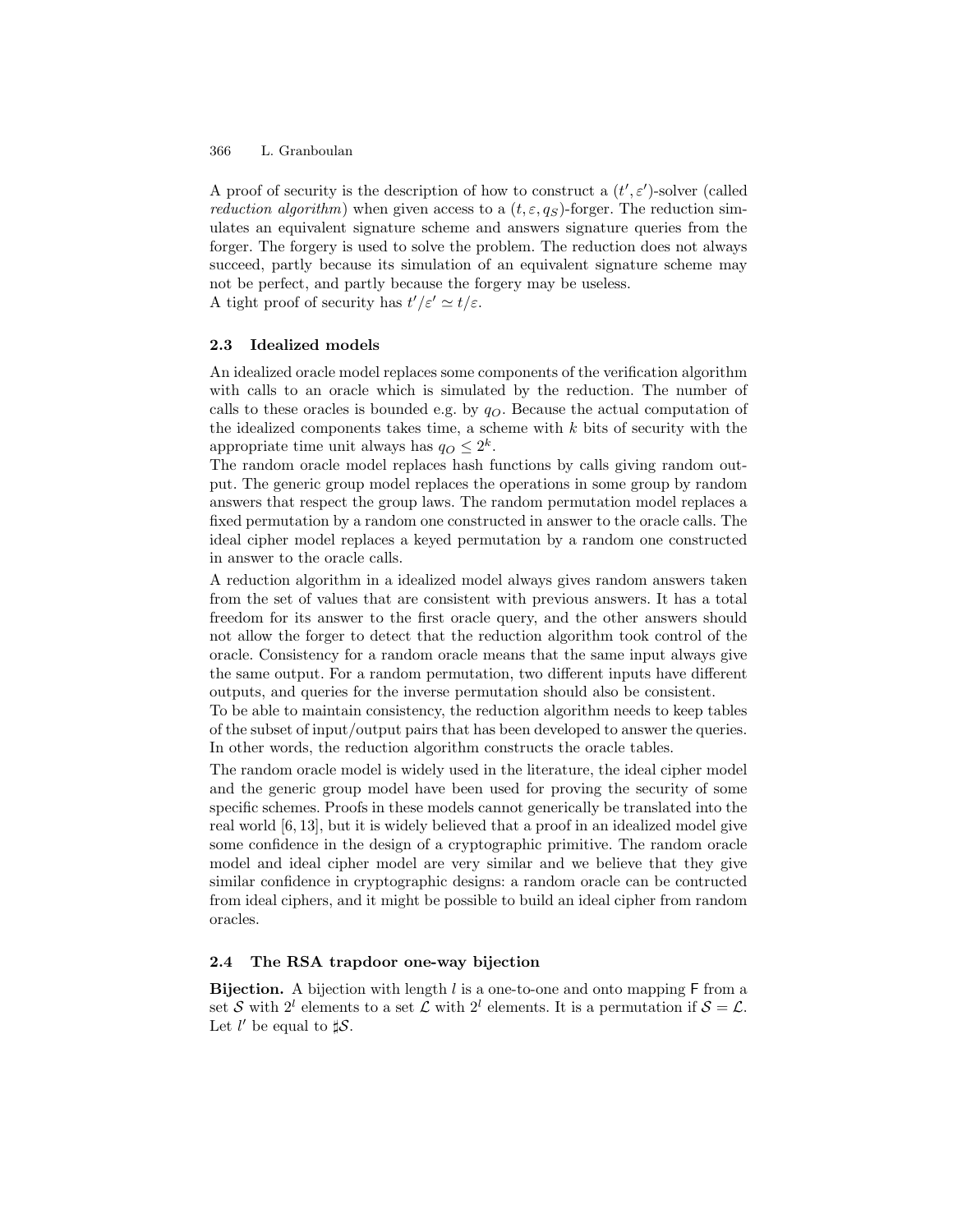A proof of security is the description of how to construct a  $(t', \varepsilon')$ -solver (called reduction algorithm) when given access to a  $(t, \varepsilon, q<sub>S</sub>)$ -forger. The reduction simulates an equivalent signature scheme and answers signature queries from the forger. The forgery is used to solve the problem. The reduction does not always succeed, partly because its simulation of an equivalent signature scheme may not be perfect, and partly because the forgery may be useless. A tight proof of security has  $t'/\varepsilon' \simeq t/\varepsilon$ .

2.3 Idealized models

An idealized oracle model replaces some components of the verification algorithm with calls to an oracle which is simulated by the reduction. The number of calls to these oracles is bounded e.g. by  $q_O$ . Because the actual computation of the idealized components takes time, a scheme with  $k$  bits of security with the appropriate time unit always has  $q_O \leq 2^k$ .

The random oracle model replaces hash functions by calls giving random output. The generic group model replaces the operations in some group by random answers that respect the group laws. The random permutation model replaces a fixed permutation by a random one constructed in answer to the oracle calls. The ideal cipher model replaces a keyed permutation by a random one constructed in answer to the oracle calls.

A reduction algorithm in a idealized model always gives random answers taken from the set of values that are consistent with previous answers. It has a total freedom for its answer to the first oracle query, and the other answers should not allow the forger to detect that the reduction algorithm took control of the oracle. Consistency for a random oracle means that the same input always give the same output. For a random permutation, two different inputs have different outputs, and queries for the inverse permutation should also be consistent.

To be able to maintain consistency, the reduction algorithm needs to keep tables of the subset of input/output pairs that has been developed to answer the queries. In other words, the reduction algorithm constructs the oracle tables.

The random oracle model is widely used in the literature, the ideal cipher model and the generic group model have been used for proving the security of some specific schemes. Proofs in these models cannot generically be translated into the real world [6, 13], but it is widely believed that a proof in an idealized model give some confidence in the design of a cryptographic primitive. The random oracle model and ideal cipher model are very similar and we believe that they give similar confidence in cryptographic designs: a random oracle can be contructed from ideal ciphers, and it might be possible to build an ideal cipher from random oracles.

#### 2.4 The RSA trapdoor one-way bijection

**Bijection.** A bijection with length  $l$  is a one-to-one and onto mapping  $\mathsf{F}$  from a set S with 2<sup>l</sup> elements to a set L with 2<sup>l</sup> elements. It is a permutation if  $S = \mathcal{L}$ . Let  $l'$  be equal to  $\sharp \mathcal{S}$ .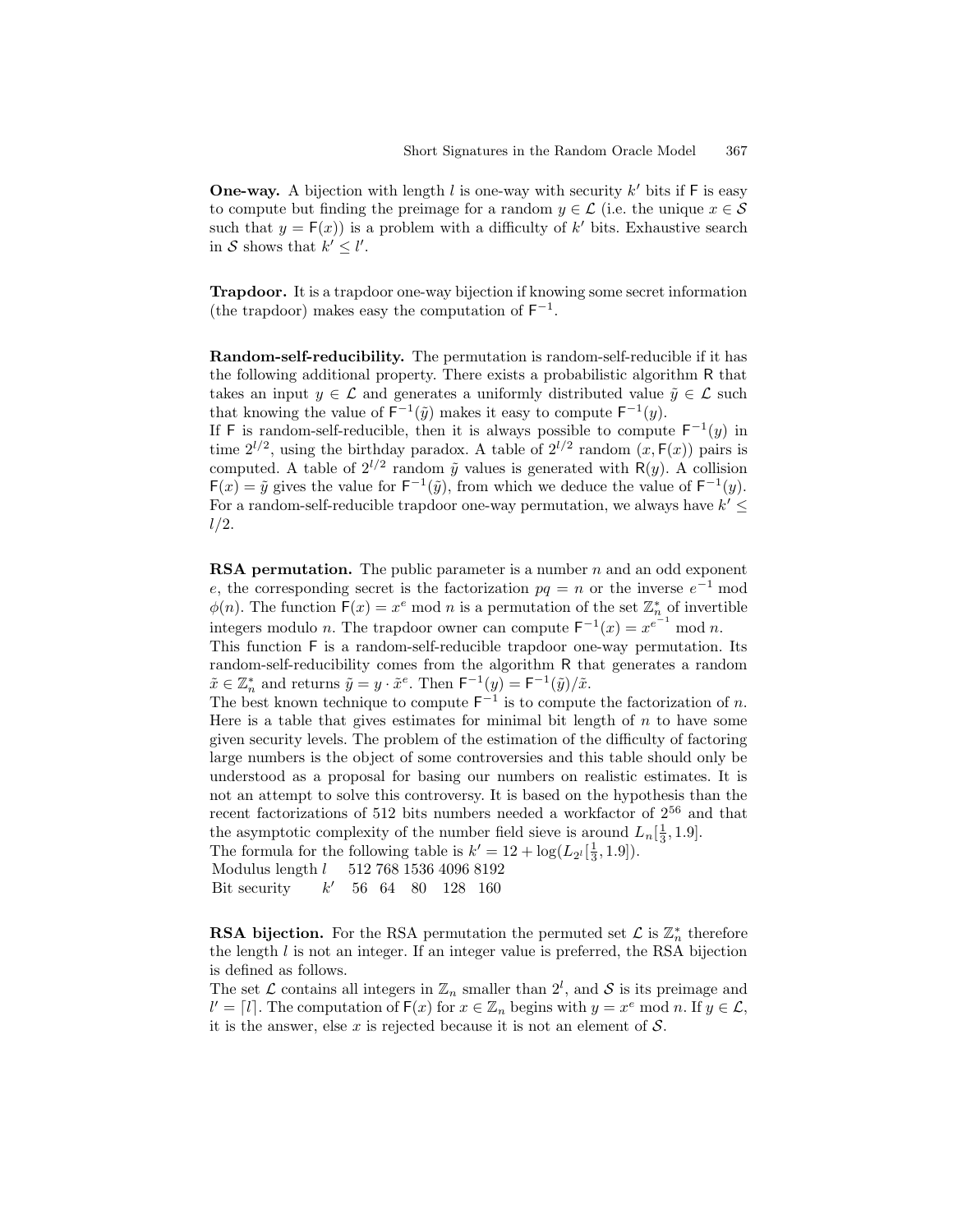**One-way.** A bijection with length  $l$  is one-way with security  $k'$  bits if  $\mathsf{F}$  is easy to compute but finding the preimage for a random  $y \in \mathcal{L}$  (i.e. the unique  $x \in \mathcal{S}$ ) such that  $y = F(x)$  is a problem with a difficulty of k' bits. Exhaustive search in S shows that  $k' \leq l'$ .

Trapdoor. It is a trapdoor one-way bijection if knowing some secret information (the trapdoor) makes easy the computation of  $F^{-1}$ .

Random-self-reducibility. The permutation is random-self-reducible if it has the following additional property. There exists a probabilistic algorithm R that takes an input  $y \in \mathcal{L}$  and generates a uniformly distributed value  $\tilde{y} \in \mathcal{L}$  such that knowing the value of  $F^{-1}(\tilde{y})$  makes it easy to compute  $F^{-1}(y)$ .

If F is random-self-reducible, then it is always possible to compute  $F^{-1}(y)$  in time  $2^{l/2}$ , using the birthday paradox. A table of  $2^{l/2}$  random  $(x, F(x))$  pairs is computed. A table of  $2^{l/2}$  random  $\tilde{y}$  values is generated with R(y). A collision  $F(x) = \tilde{y}$  gives the value for  $F^{-1}(\tilde{y})$ , from which we deduce the value of  $F^{-1}(y)$ . For a random-self-reducible trapdoor one-way permutation, we always have  $k' \leq$  $l/2$ .

**RSA permutation.** The public parameter is a number  $n$  and an odd exponent e, the corresponding secret is the factorization  $pq = n$  or the inverse  $e^{-1}$  mod  $\phi(n)$ . The function  $F(x) = x^e \mod n$  is a permutation of the set  $\mathbb{Z}_n^*$  of invertible integers modulo *n*. The trapdoor owner can compute  $F^{-1}(x) = x^{e^{-1}}$  mod *n*.

This function F is a random-self-reducible trapdoor one-way permutation. Its random-self-reducibility comes from the algorithm R that generates a random  $\tilde{x} \in \mathbb{Z}_n^*$  and returns  $\tilde{y} = y \cdot \tilde{x}^e$ . Then  $\mathsf{F}^{-1}(y) = \mathsf{F}^{-1}(\tilde{y})/\tilde{x}$ .

The best known technique to compute  $F^{-1}$  is to compute the factorization of n. Here is a table that gives estimates for minimal bit length of  $n$  to have some given security levels. The problem of the estimation of the difficulty of factoring large numbers is the object of some controversies and this table should only be understood as a proposal for basing our numbers on realistic estimates. It is not an attempt to solve this controversy. It is based on the hypothesis than the recent factorizations of 512 bits numbers needed a workfactor of  $2^{56}$  and that the asymptotic complexity of the number field sieve is around  $L_n[\frac{1}{3}, 1.9]$ .

The formula for the following table is  $k' = 12 + \log(L_{2^l}[\frac{1}{3}, 1.9]).$ 

Modulus length *l* 512 768 1536 4096 8192

Bit security  $k'$ <sup>0</sup> 56 64 80 128 160

**RSA bijection.** For the RSA permutation the permuted set  $\mathcal{L}$  is  $\mathbb{Z}_n^*$  therefore the length  $l$  is not an integer. If an integer value is preferred, the RSA bijection is defined as follows.

The set  $\mathcal L$  contains all integers in  $\mathbb Z_n$  smaller than  $2^l$ , and  $\mathcal S$  is its preimage and  $l' = [l]$ . The computation of  $F(x)$  for  $x \in \mathbb{Z}_n$  begins with  $y = x^e \mod n$ . If  $y \in \mathcal{L}$ , it is the answer, else x is rejected because it is not an element of  $S$ .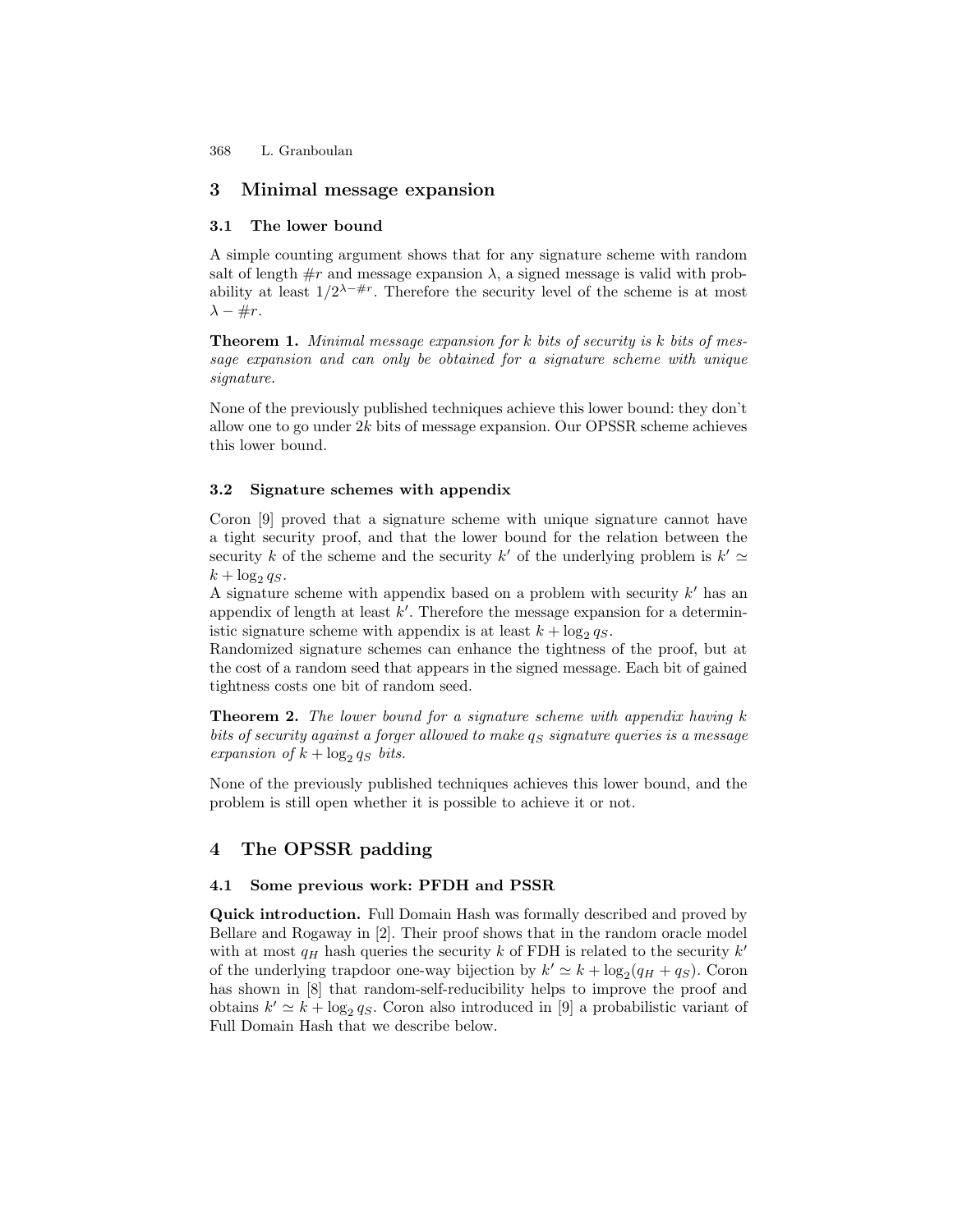## 3 Minimal message expansion

#### 3.1 The lower bound

A simple counting argument shows that for any signature scheme with random salt of length  $\#r$  and message expansion  $\lambda$ , a signed message is valid with probability at least  $1/2^{\lambda - \#r}$ . Therefore the security level of the scheme is at most  $\lambda - \#r$ .

**Theorem 1.** Minimal message expansion for k bits of security is k bits of message expansion and can only be obtained for a signature scheme with unique signature.

None of the previously published techniques achieve this lower bound: they don't allow one to go under  $2k$  bits of message expansion. Our OPSSR scheme achieves this lower bound.

#### 3.2 Signature schemes with appendix

Coron [9] proved that a signature scheme with unique signature cannot have a tight security proof, and that the lower bound for the relation between the security k of the scheme and the security  $k'$  of the underlying problem is  $k' \simeq$  $k + \log_2 q_S$ .

A signature scheme with appendix based on a problem with security  $k'$  has an appendix of length at least  $k'$ . Therefore the message expansion for a deterministic signature scheme with appendix is at least  $k + \log_2 q_S$ .

Randomized signature schemes can enhance the tightness of the proof, but at the cost of a random seed that appears in the signed message. Each bit of gained tightness costs one bit of random seed.

**Theorem 2.** The lower bound for a signature scheme with appendix having k bits of security against a forger allowed to make  $q_S$  signature queries is a message expansion of  $k + \log_2 q_S$  bits.

None of the previously published techniques achieves this lower bound, and the problem is still open whether it is possible to achieve it or not.

## 4 The OPSSR padding

#### 4.1 Some previous work: PFDH and PSSR

Quick introduction. Full Domain Hash was formally described and proved by Bellare and Rogaway in [2]. Their proof shows that in the random oracle model with at most  $q_H$  hash queries the security k of FDH is related to the security  $k'$ of the underlying trapdoor one-way bijection by  $k' \simeq k + \log_2(q_H + q_S)$ . Coron has shown in  $[8]$  that random-self-reducibility helps to improve the proof and obtains  $k' \simeq k + \log_2 q_s$ . Coron also introduced in [9] a probabilistic variant of Full Domain Hash that we describe below.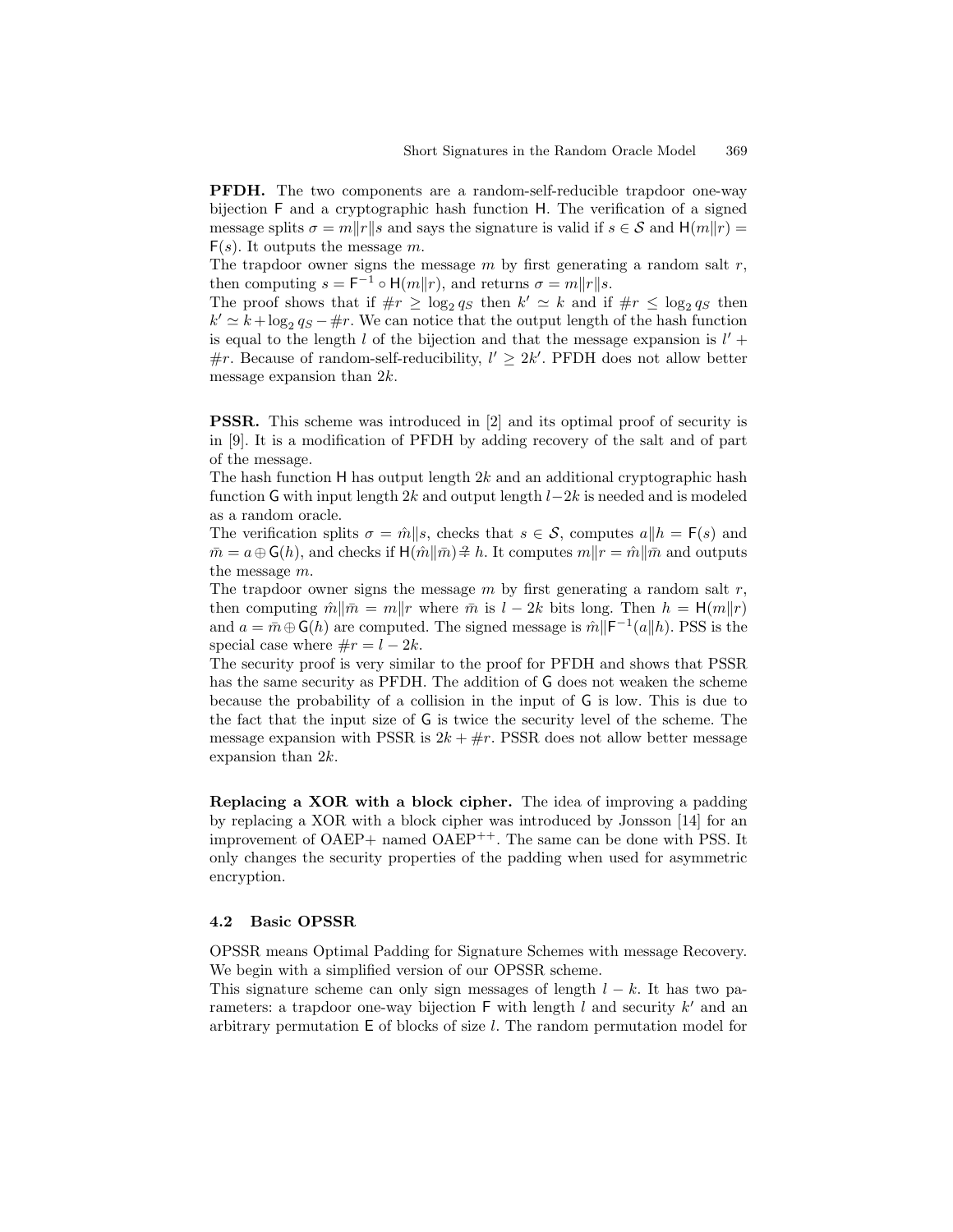PFDH. The two components are a random-self-reducible trapdoor one-way bijection F and a cryptographic hash function H. The verification of a signed message splits  $\sigma = m||r||s$  and says the signature is valid if  $s \in S$  and  $H(m||r) =$  $F(s)$ . It outputs the message m.

The trapdoor owner signs the message  $m$  by first generating a random salt  $r$ , then computing  $s = \mathsf{F}^{-1} \circ \mathsf{H}(m||r)$ , and returns  $\sigma = m||r||s$ .

The proof shows that if  $\#r \geq \log_2 q_s$  then  $k' \simeq k$  and if  $\#r \leq \log_2 q_s$  then  $k' \simeq k + \log_2 q_s - \#r$ . We can notice that the output length of the hash function is equal to the length  $l$  of the bijection and that the message expansion is  $l'$  + #r. Because of random-self-reducibility,  $l' \geq 2k'$ . PFDH does not allow better message expansion than 2k.

PSSR. This scheme was introduced in [2] and its optimal proof of security is in [9]. It is a modification of PFDH by adding recovery of the salt and of part of the message.

The hash function  $H$  has output length  $2k$  and an additional cryptographic hash function G with input length 2k and output length  $l-2k$  is needed and is modeled as a random oracle.

The verification splits  $\sigma = \hat{m} \| s$ , checks that  $s \in \mathcal{S}$ , computes  $a \| h = F(s)$  and  $\bar{m} = a \oplus \mathsf{G}(h)$ , and checks if  $\mathsf{H}(\hat{m}||\bar{m}) \neq h$ . It computes  $m||r = \hat{m}||\bar{m}$  and outputs the message m.

The trapdoor owner signs the message  $m$  by first generating a random salt  $r$ , then computing  $\hat{m} \parallel \bar{m} = m \parallel r$  where  $\bar{m}$  is  $l - 2k$  bits long. Then  $h = H(m \parallel r)$ and  $a = \bar{m} \oplus \mathsf{G}(h)$  are computed. The signed message is  $\hat{m} \|\mathsf{F}^{-1}(a||h)$ . PSS is the special case where  $\#r = l - 2k$ .

The security proof is very similar to the proof for PFDH and shows that PSSR has the same security as PFDH. The addition of G does not weaken the scheme because the probability of a collision in the input of G is low. This is due to the fact that the input size of G is twice the security level of the scheme. The message expansion with PSSR is  $2k + \text{\#r}$ . PSSR does not allow better message expansion than 2k.

Replacing a XOR with a block cipher. The idea of improving a padding by replacing a XOR with a block cipher was introduced by Jonsson [14] for an improvement of OAEP+ named OAEP++. The same can be done with PSS. It only changes the security properties of the padding when used for asymmetric encryption.

#### 4.2 Basic OPSSR

OPSSR means Optimal Padding for Signature Schemes with message Recovery. We begin with a simplified version of our OPSSR scheme.

This signature scheme can only sign messages of length  $l - k$ . It has two parameters: a trapdoor one-way bijection  $F$  with length l and security  $k'$  and an arbitrary permutation  $E$  of blocks of size l. The random permutation model for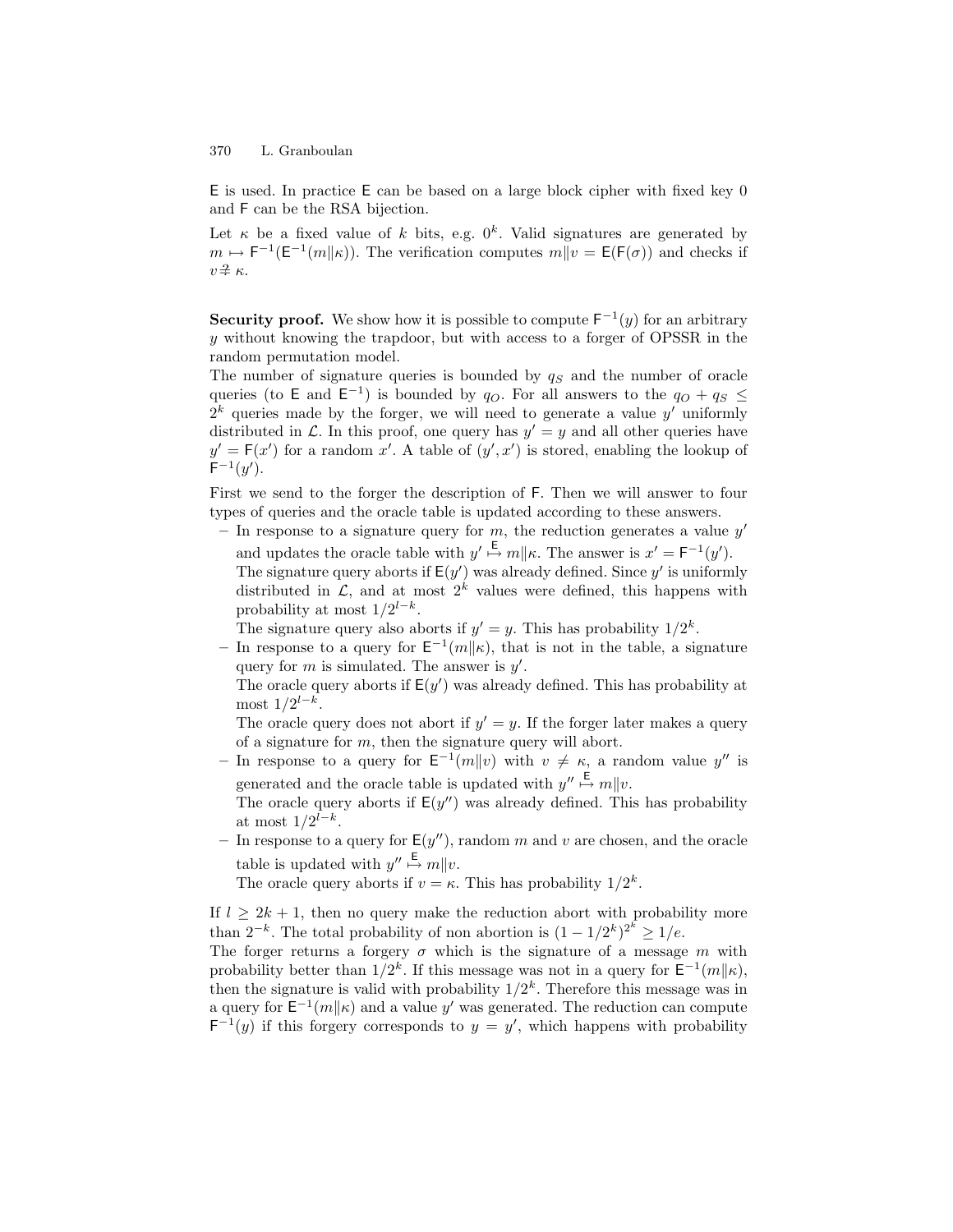E is used. In practice E can be based on a large block cipher with fixed key 0 and F can be the RSA bijection.

Let  $\kappa$  be a fixed value of k bits, e.g.  $0^k$ . Valid signatures are generated by  $m \mapsto \mathsf{F}^{-1}(\mathsf{E}^{-1}(m\|\kappa)).$  The verification computes  $m\|v = \mathsf{E}(\mathsf{F}(\sigma))$  and checks if  $v = \kappa$ .

**Security proof.** We show how it is possible to compute  $F^{-1}(y)$  for an arbitrary y without knowing the trapdoor, but with access to a forger of OPSSR in the random permutation model.

The number of signature queries is bounded by  $q<sub>S</sub>$  and the number of oracle queries (to E and  $E^{-1}$ ) is bounded by  $q_O$ . For all answers to the  $q_O + q_S \leq$  $2<sup>k</sup>$  queries made by the forger, we will need to generate a value  $y'$  uniformly distributed in  $\mathcal{L}$ . In this proof, one query has  $y' = y$  and all other queries have  $y' = F(x')$  for a random x'. A table of  $(y', x')$  is stored, enabling the lookup of  $F^{-1}(y')$ .

First we send to the forger the description of F. Then we will answer to four types of queries and the oracle table is updated according to these answers.

- In response to a signature query for  $m$ , the reduction generates a value  $y'$ and updates the oracle table with  $y' \stackrel{\mathsf{E}}{\mapsto} m \| \kappa$ . The answer is  $x' = \mathsf{F}^{-1}(y')$ .
- The signature query aborts if  $E(y')$  was already defined. Since y' is uniformly distributed in  $\mathcal{L}$ , and at most  $2^k$  values were defined, this happens with probability at most  $1/2^{l-k}$ .

The signature query also aborts if  $y' = y$ . This has probability  $1/2^k$ .

− In response to a query for  $E^{-1}(m||\kappa)$ , that is not in the table, a signature query for  $m$  is simulated. The answer is  $y'$ .

The oracle query aborts if  $E(y')$  was already defined. This has probability at most  $1/2^{l-k}$ .

The oracle query does not abort if  $y' = y$ . If the forger later makes a query of a signature for  $m$ , then the signature query will abort.

- − In response to a query for  $E^{-1}(m||v)$  with  $v \neq \kappa$ , a random value y'' is generated and the oracle table is updated with  $y'' \stackrel{\mathsf{E}}{\mapsto} m||v$ .
	- The oracle query aborts if  $E(y'')$  was already defined. This has probability at most  $1/2^{l-k}$ .
- In response to a query for  $E(y'')$ , random m and v are chosen, and the oracle table is updated with  $y'' \stackrel{\mathsf{E}}{\mapsto} m||v$ .

The oracle query aborts if  $v = \kappa$ . This has probability  $1/2^k$ .

If  $l \geq 2k + 1$ , then no query make the reduction abort with probability more than  $2^{-k}$ . The total probability of non abortion is  $(1 - 1/2^k)^{2^k} \ge 1/e$ .

The forger returns a forgery  $\sigma$  which is the signature of a message m with probability better than  $1/2^k$ . If this message was not in a query for  $\mathsf{E}^{-1}(m||\kappa)$ , then the signature is valid with probability  $1/2^k$ . Therefore this message was in a query for  $\mathsf{E}^{-1}(m||\kappa)$  and a value y' was generated. The reduction can compute  $F^{-1}(y)$  if this forgery corresponds to  $y = y'$ , which happens with probability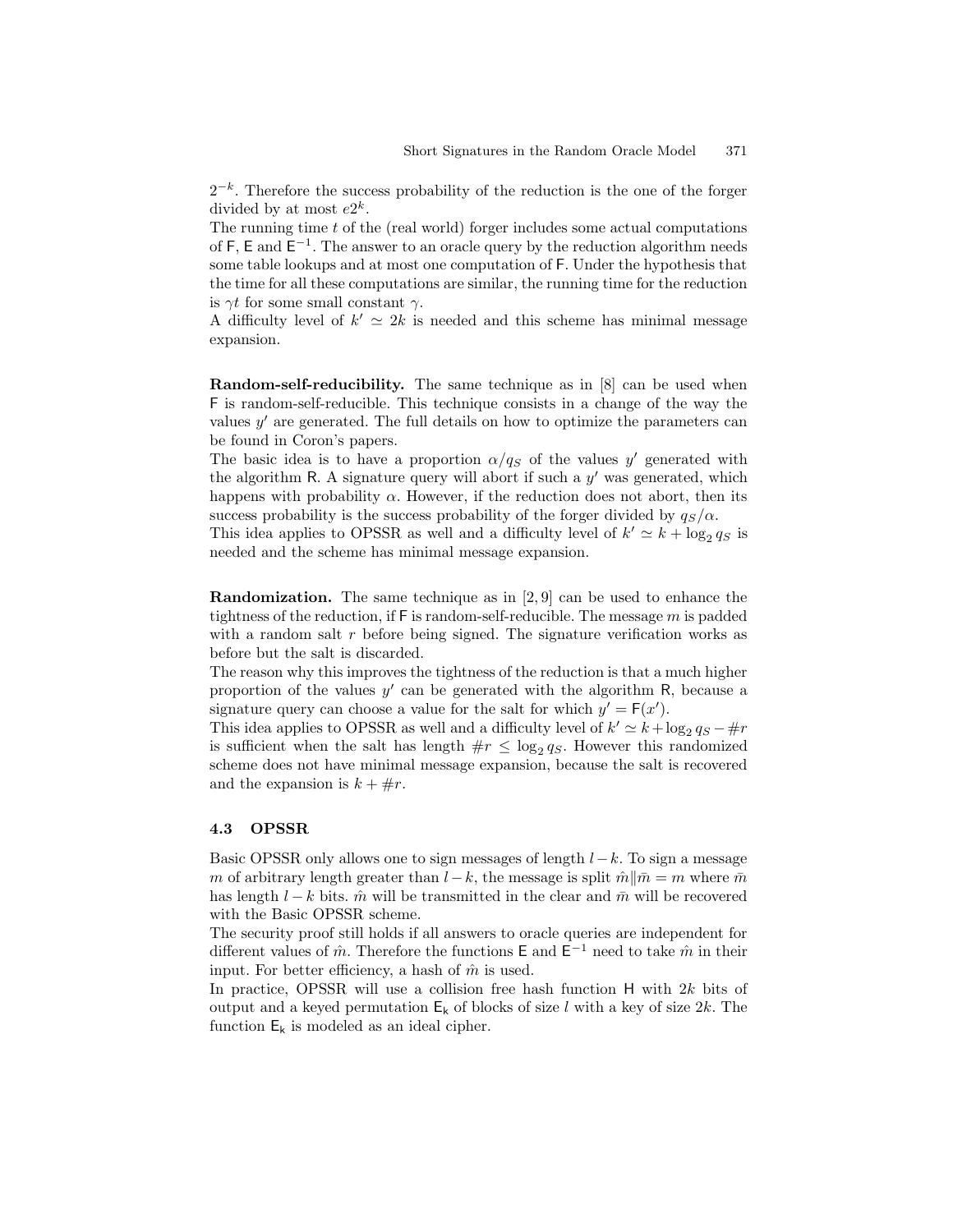$2^{-k}$ . Therefore the success probability of the reduction is the one of the forger divided by at most  $e2^k$ .

The running time  $t$  of the (real world) forger includes some actual computations of  $\mathsf{F}, \mathsf{E}$  and  $\mathsf{E}^{-1}$ . The answer to an oracle query by the reduction algorithm needs some table lookups and at most one computation of F. Under the hypothesis that the time for all these computations are similar, the running time for the reduction is  $\gamma t$  for some small constant  $\gamma$ .

A difficulty level of  $k' \simeq 2k$  is needed and this scheme has minimal message expansion.

Random-self-reducibility. The same technique as in [8] can be used when F is random-self-reducible. This technique consists in a change of the way the values  $y'$  are generated. The full details on how to optimize the parameters can be found in Coron's papers.

The basic idea is to have a proportion  $\alpha/g_S$  of the values y' generated with the algorithm  $R$ . A signature query will abort if such a  $y'$  was generated, which happens with probability  $\alpha$ . However, if the reduction does not abort, then its success probability is the success probability of the forger divided by  $q_S/\alpha$ .

This idea applies to OPSSR as well and a difficulty level of  $k' \simeq k + \log_2 q_S$  is needed and the scheme has minimal message expansion.

**Randomization.** The same technique as in  $[2, 9]$  can be used to enhance the tightness of the reduction, if  $F$  is random-self-reducible. The message  $m$  is padded with a random salt  $r$  before being signed. The signature verification works as before but the salt is discarded.

The reason why this improves the tightness of the reduction is that a much higher proportion of the values  $y'$  can be generated with the algorithm R, because a signature query can choose a value for the salt for which  $y' = F(x')$ .

This idea applies to OPSSR as well and a difficulty level of  $k' \simeq k + \log_2 q_S - \#r$ is sufficient when the salt has length  $\#r \leq \log_2 q_S$ . However this randomized scheme does not have minimal message expansion, because the salt is recovered and the expansion is  $k + \text{\#r}$ .

#### 4.3 OPSSR

Basic OPSSR only allows one to sign messages of length  $l-k$ . To sign a message m of arbitrary length greater than  $l-k$ , the message is split  $\hat{m} \parallel \bar{m} = m$  where  $\bar{m}$ has length  $l - k$  bits.  $\hat{m}$  will be transmitted in the clear and  $\bar{m}$  will be recovered with the Basic OPSSR scheme.

The security proof still holds if all answers to oracle queries are independent for different values of  $\hat{m}$ . Therefore the functions E and E<sup>-1</sup> need to take  $\hat{m}$  in their input. For better efficiency, a hash of  $\hat{m}$  is used.

In practice, OPSSR will use a collision free hash function H with 2k bits of output and a keyed permutation  $E_k$  of blocks of size l with a key of size 2k. The function  $E_k$  is modeled as an ideal cipher.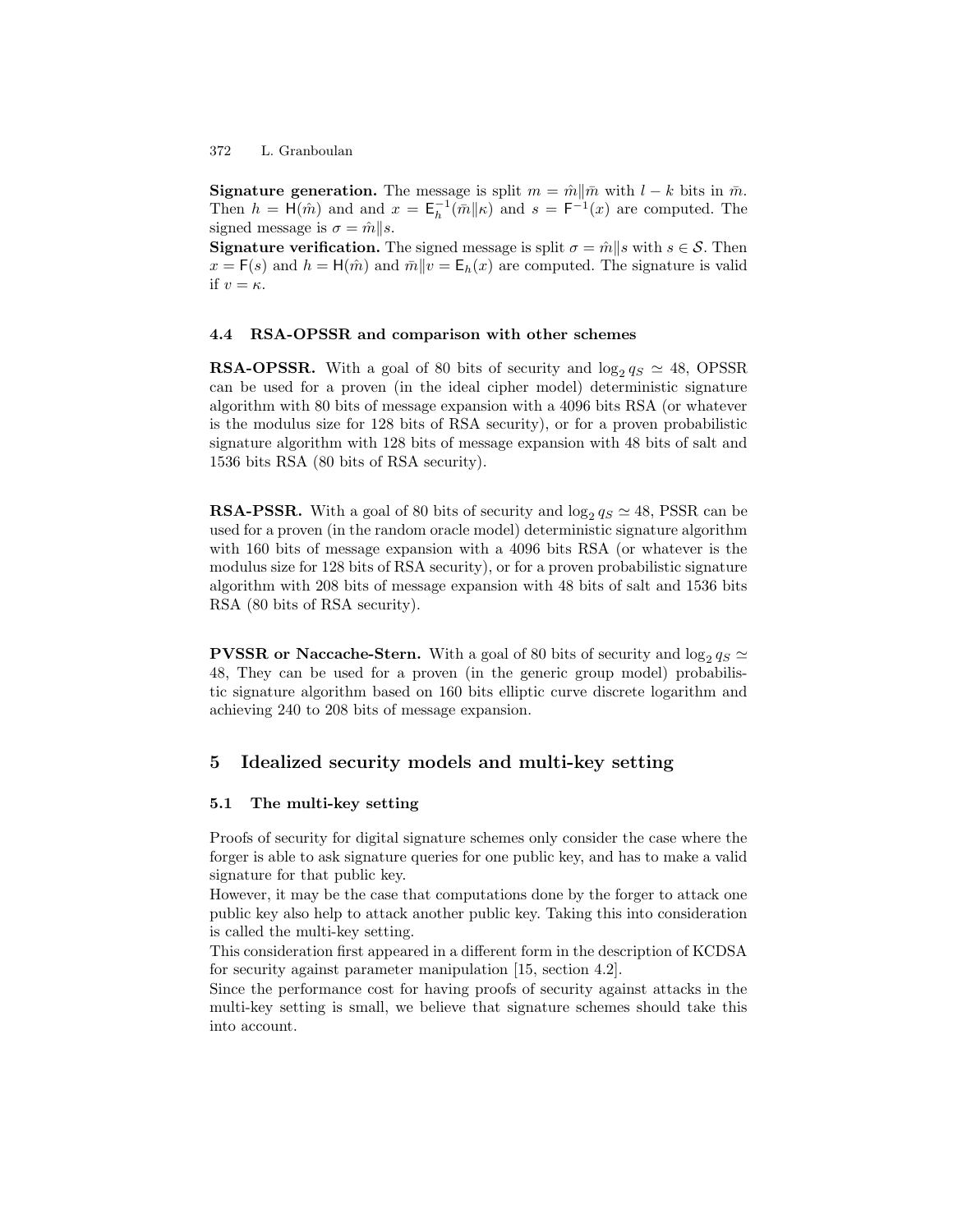**Signature generation.** The message is split  $m = \hat{m} || \bar{m}$  with  $l - k$  bits in  $\bar{m}$ . Then  $h = H(\hat{m})$  and and  $x = \mathsf{E}_h^{-1}(\bar{m}||\kappa)$  and  $s = \mathsf{F}^{-1}(x)$  are computed. The signed message is  $\sigma = \hat{m} || s$ .

**Signature verification.** The signed message is split  $\sigma = \hat{m} || s$  with  $s \in \mathcal{S}$ . Then  $x = F(s)$  and  $h = H(\hat{m})$  and  $\bar{m} \| v = E_h(x)$  are computed. The signature is valid if  $v = \kappa$ .

#### 4.4 RSA-OPSSR and comparison with other schemes

**RSA-OPSSR.** With a goal of 80 bits of security and  $\log_2 q_s \simeq 48$ , OPSSR can be used for a proven (in the ideal cipher model) deterministic signature algorithm with 80 bits of message expansion with a 4096 bits RSA (or whatever is the modulus size for 128 bits of RSA security), or for a proven probabilistic signature algorithm with 128 bits of message expansion with 48 bits of salt and 1536 bits RSA (80 bits of RSA security).

**RSA-PSSR.** With a goal of 80 bits of security and  $\log_2 q_S \simeq 48$ , PSSR can be used for a proven (in the random oracle model) deterministic signature algorithm with 160 bits of message expansion with a 4096 bits RSA (or whatever is the modulus size for 128 bits of RSA security), or for a proven probabilistic signature algorithm with 208 bits of message expansion with 48 bits of salt and 1536 bits RSA (80 bits of RSA security).

**PVSSR or Naccache-Stern.** With a goal of 80 bits of security and  $\log_2 q_S \simeq$ 48, They can be used for a proven (in the generic group model) probabilistic signature algorithm based on 160 bits elliptic curve discrete logarithm and achieving 240 to 208 bits of message expansion.

# 5 Idealized security models and multi-key setting

#### 5.1 The multi-key setting

Proofs of security for digital signature schemes only consider the case where the forger is able to ask signature queries for one public key, and has to make a valid signature for that public key.

However, it may be the case that computations done by the forger to attack one public key also help to attack another public key. Taking this into consideration is called the multi-key setting.

This consideration first appeared in a different form in the description of KCDSA for security against parameter manipulation [15, section 4.2].

Since the performance cost for having proofs of security against attacks in the multi-key setting is small, we believe that signature schemes should take this into account.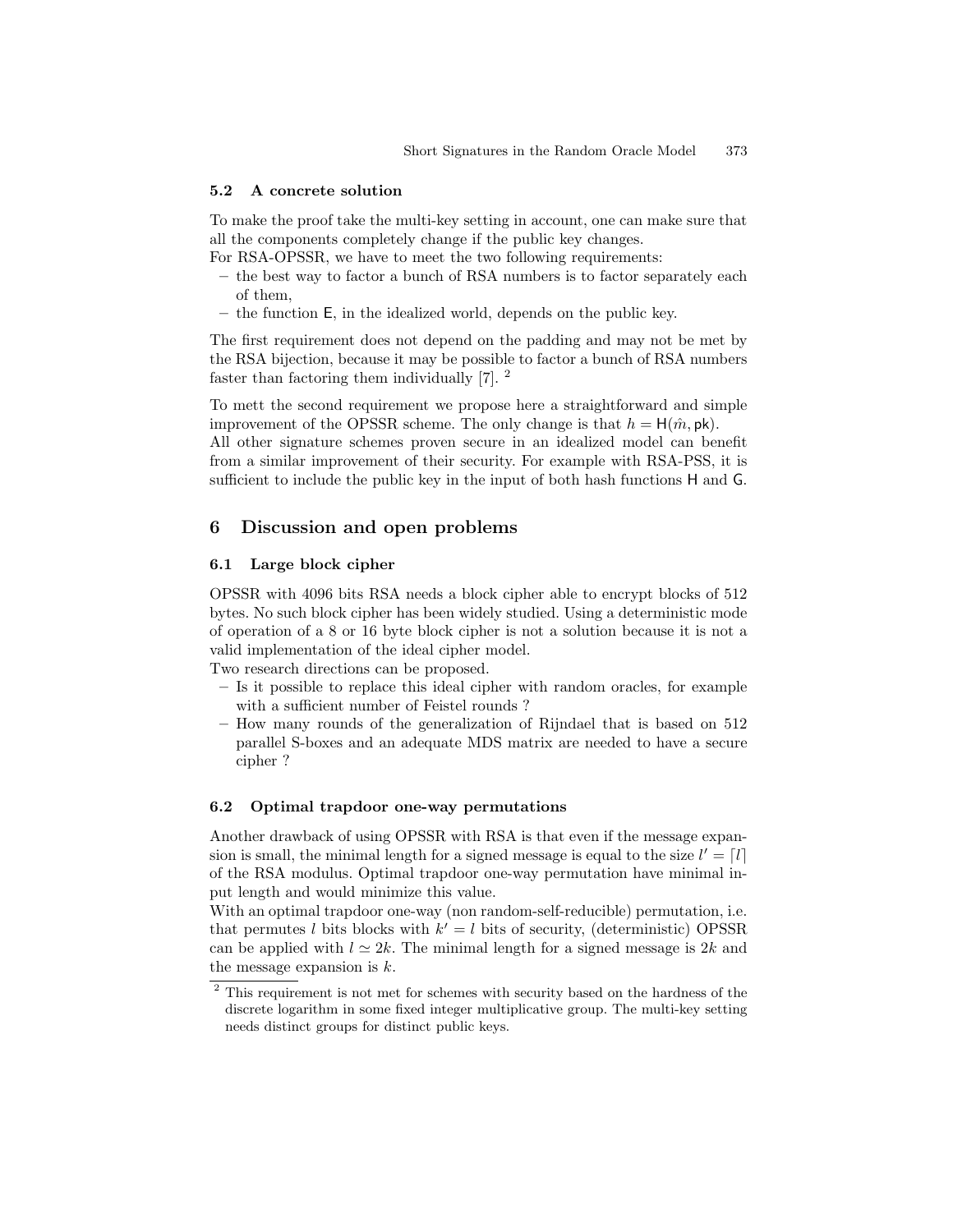#### 5.2 A concrete solution

To make the proof take the multi-key setting in account, one can make sure that all the components completely change if the public key changes.

For RSA-OPSSR, we have to meet the two following requirements:

- the best way to factor a bunch of RSA numbers is to factor separately each of them,
- the function E, in the idealized world, depends on the public key.

The first requirement does not depend on the padding and may not be met by the RSA bijection, because it may be possible to factor a bunch of RSA numbers faster than factoring them individually [7]. <sup>2</sup>

To mett the second requirement we propose here a straightforward and simple improvement of the OPSSR scheme. The only change is that  $h = H(\hat{m}, \mathsf{pk})$ .

All other signature schemes proven secure in an idealized model can benefit from a similar improvement of their security. For example with RSA-PSS, it is sufficient to include the public key in the input of both hash functions H and G.

### 6 Discussion and open problems

#### 6.1 Large block cipher

OPSSR with 4096 bits RSA needs a block cipher able to encrypt blocks of 512 bytes. No such block cipher has been widely studied. Using a deterministic mode of operation of a 8 or 16 byte block cipher is not a solution because it is not a valid implementation of the ideal cipher model.

Two research directions can be proposed.

- Is it possible to replace this ideal cipher with random oracles, for example with a sufficient number of Feistel rounds ?
- How many rounds of the generalization of Rijndael that is based on 512 parallel S-boxes and an adequate MDS matrix are needed to have a secure cipher ?

# 6.2 Optimal trapdoor one-way permutations

Another drawback of using OPSSR with RSA is that even if the message expansion is small, the minimal length for a signed message is equal to the size  $l' = [l]$ of the RSA modulus. Optimal trapdoor one-way permutation have minimal input length and would minimize this value.

With an optimal trapdoor one-way (non random-self-reducible) permutation, i.e. that permutes l bits blocks with  $k' = l$  bits of security, (deterministic) OPSSR can be applied with  $l \approx 2k$ . The minimal length for a signed message is 2k and the message expansion is  $k$ .

 $^2$  This requirement is not met for schemes with security based on the hardness of the  $\,$ discrete logarithm in some fixed integer multiplicative group. The multi-key setting needs distinct groups for distinct public keys.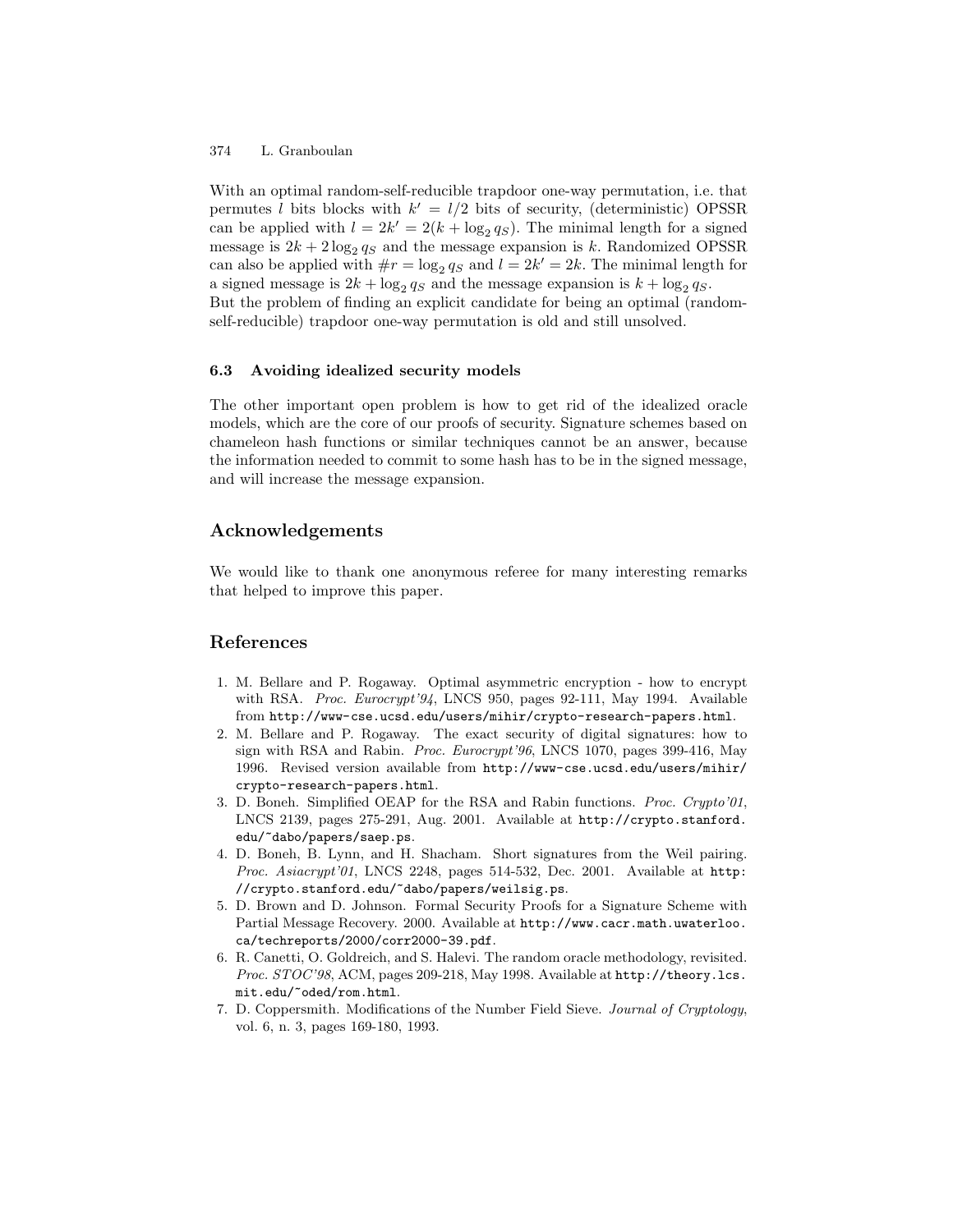With an optimal random-self-reducible trapdoor one-way permutation, i.e. that permutes l bits blocks with  $k' = l/2$  bits of security, (deterministic) OPSSR can be applied with  $l = 2k' = 2(k + \log_2 q_S)$ . The minimal length for a signed message is  $2k + 2 \log_2 q_S$  and the message expansion is k. Randomized OPSSR can also be applied with  $\#r = \log_2 q_S$  and  $l = 2k' = 2k$ . The minimal length for a signed message is  $2k + \log_2 q_S$  and the message expansion is  $k + \log_2 q_S$ . But the problem of finding an explicit candidate for being an optimal (randomself-reducible) trapdoor one-way permutation is old and still unsolved.

#### 6.3 Avoiding idealized security models

The other important open problem is how to get rid of the idealized oracle models, which are the core of our proofs of security. Signature schemes based on chameleon hash functions or similar techniques cannot be an answer, because the information needed to commit to some hash has to be in the signed message, and will increase the message expansion.

# Acknowledgements

We would like to thank one anonymous referee for many interesting remarks that helped to improve this paper.

# References

- 1. M. Bellare and P. Rogaway. Optimal asymmetric encryption how to encrypt with RSA. Proc. Eurocrypt'94, LNCS 950, pages 92-111, May 1994. Available from http://www-cse.ucsd.edu/users/mihir/crypto-research-papers.html.
- 2. M. Bellare and P. Rogaway. The exact security of digital signatures: how to sign with RSA and Rabin. Proc. Eurocrypt'96, LNCS 1070, pages 399-416, May 1996. Revised version available from http://www-cse.ucsd.edu/users/mihir/ crypto-research-papers.html.
- 3. D. Boneh. Simplified OEAP for the RSA and Rabin functions. Proc. Crypto'01, LNCS 2139, pages 275-291, Aug. 2001. Available at http://crypto.stanford. edu/~dabo/papers/saep.ps.
- 4. D. Boneh, B. Lynn, and H. Shacham. Short signatures from the Weil pairing. Proc. Asiacrypt'01, LNCS 2248, pages 514-532, Dec. 2001. Available at http: //crypto.stanford.edu/~dabo/papers/weilsig.ps.
- 5. D. Brown and D. Johnson. Formal Security Proofs for a Signature Scheme with Partial Message Recovery. 2000. Available at http://www.cacr.math.uwaterloo. ca/techreports/2000/corr2000-39.pdf.
- 6. R. Canetti, O. Goldreich, and S. Halevi. The random oracle methodology, revisited. Proc. STOC'98, ACM, pages 209-218, May 1998. Available at http://theory.lcs. mit.edu/~oded/rom.html.
- 7. D. Coppersmith. Modifications of the Number Field Sieve. Journal of Cryptology, vol. 6, n. 3, pages 169-180, 1993.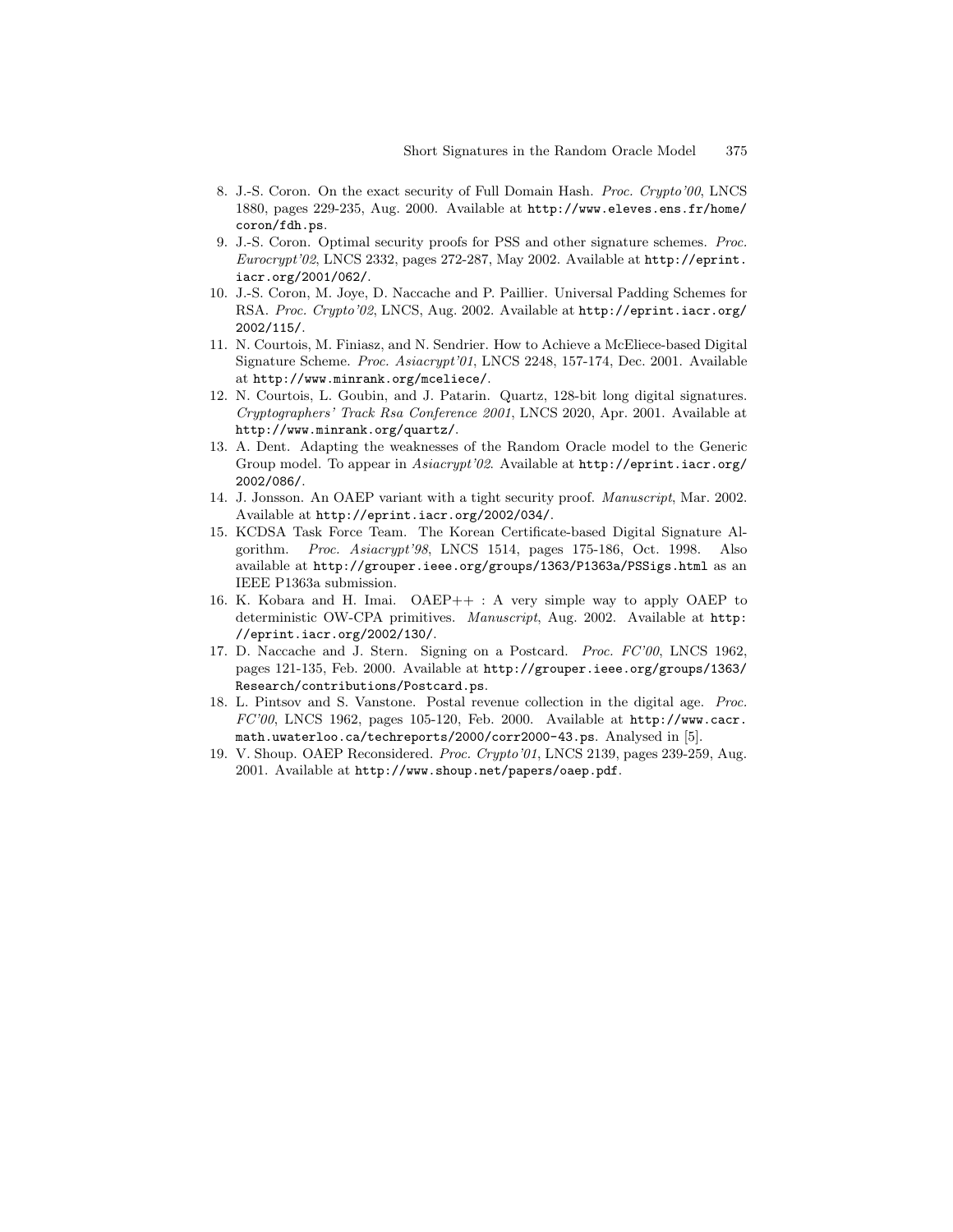- 8. J.-S. Coron. On the exact security of Full Domain Hash. Proc. Crypto'00, LNCS 1880, pages 229-235, Aug. 2000. Available at http://www.eleves.ens.fr/home/ coron/fdh.ps.
- 9. J.-S. Coron. Optimal security proofs for PSS and other signature schemes. Proc. Eurocrypt'02, LNCS 2332, pages 272-287, May 2002. Available at http://eprint. iacr.org/2001/062/.
- 10. J.-S. Coron, M. Joye, D. Naccache and P. Paillier. Universal Padding Schemes for RSA. Proc. Crypto'02, LNCS, Aug. 2002. Available at http://eprint.iacr.org/ 2002/115/.
- 11. N. Courtois, M. Finiasz, and N. Sendrier. How to Achieve a McEliece-based Digital Signature Scheme. Proc. Asiacrypt'01, LNCS 2248, 157-174, Dec. 2001. Available at http://www.minrank.org/mceliece/.
- 12. N. Courtois, L. Goubin, and J. Patarin. Quartz, 128-bit long digital signatures. Cryptographers' Track Rsa Conference 2001, LNCS 2020, Apr. 2001. Available at http://www.minrank.org/quartz/.
- 13. A. Dent. Adapting the weaknesses of the Random Oracle model to the Generic Group model. To appear in Asiacrypt'02. Available at http://eprint.iacr.org/ 2002/086/.
- 14. J. Jonsson. An OAEP variant with a tight security proof. Manuscript, Mar. 2002. Available at http://eprint.iacr.org/2002/034/.
- 15. KCDSA Task Force Team. The Korean Certificate-based Digital Signature Algorithm. Proc. Asiacrypt'98, LNCS 1514, pages 175-186, Oct. 1998. Also available at http://grouper.ieee.org/groups/1363/P1363a/PSSigs.html as an IEEE P1363a submission.
- 16. K. Kobara and H. Imai. OAEP++ : A very simple way to apply OAEP to deterministic OW-CPA primitives. Manuscript, Aug. 2002. Available at http: //eprint.iacr.org/2002/130/.
- 17. D. Naccache and J. Stern. Signing on a Postcard. Proc. FC'00, LNCS 1962, pages 121-135, Feb. 2000. Available at http://grouper.ieee.org/groups/1363/ Research/contributions/Postcard.ps.
- 18. L. Pintsov and S. Vanstone. Postal revenue collection in the digital age. Proc. FC'00, LNCS 1962, pages 105-120, Feb. 2000. Available at http://www.cacr. math.uwaterloo.ca/techreports/2000/corr2000-43.ps. Analysed in [5].
- 19. V. Shoup. OAEP Reconsidered. Proc. Crypto'01, LNCS 2139, pages 239-259, Aug. 2001. Available at http://www.shoup.net/papers/oaep.pdf.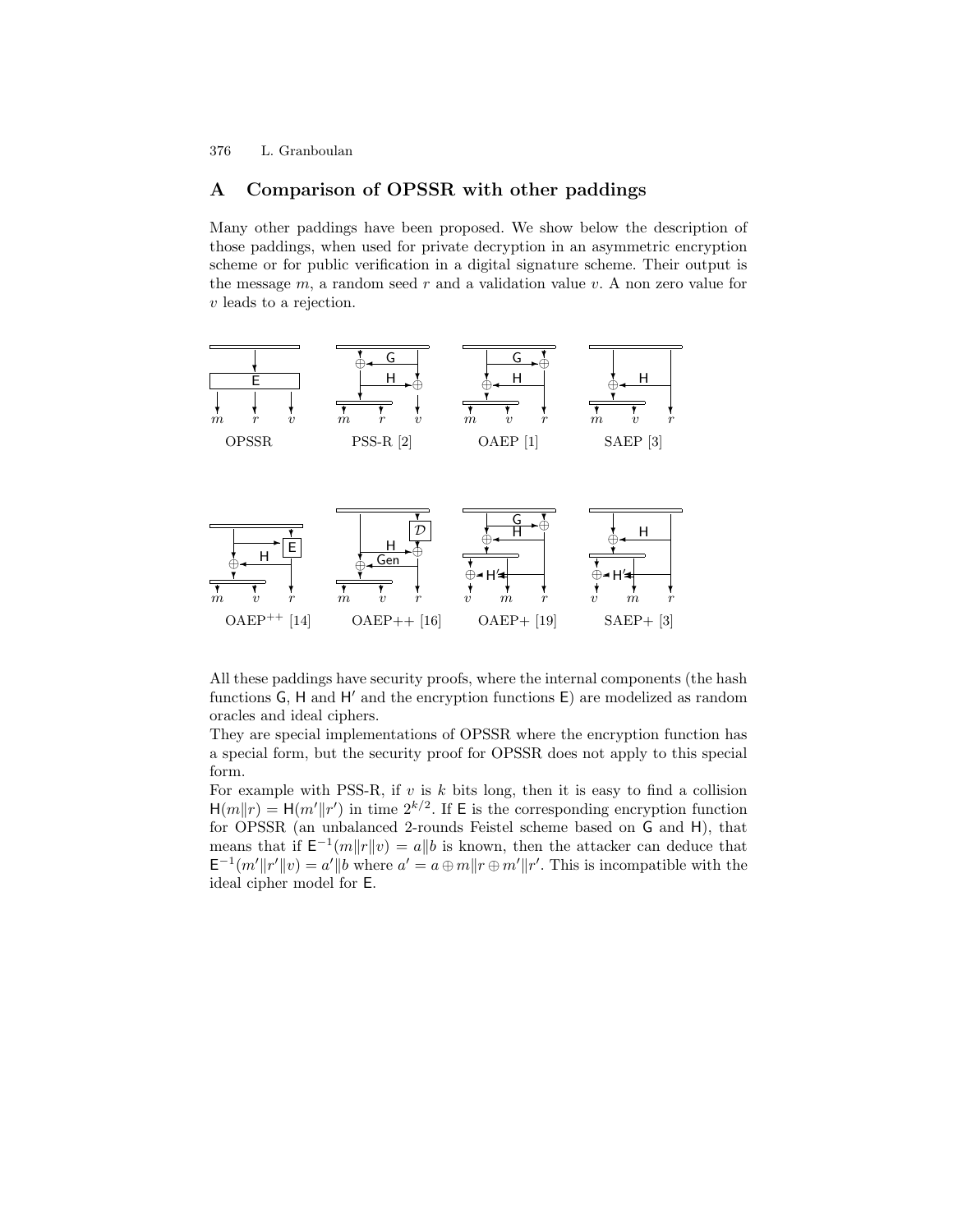# A Comparison of OPSSR with other paddings

Many other paddings have been proposed. We show below the description of those paddings, when used for private decryption in an asymmetric encryption scheme or for public verification in a digital signature scheme. Their output is the message  $m$ , a random seed  $r$  and a validation value  $v$ . A non zero value for v leads to a rejection.



All these paddings have security proofs, where the internal components (the hash functions G, H and H' and the encryption functions E) are modelized as random oracles and ideal ciphers.

They are special implementations of OPSSR where the encryption function has a special form, but the security proof for OPSSR does not apply to this special form.

For example with PSS-R, if  $v$  is  $k$  bits long, then it is easy to find a collision  $H(m||r) = H(m'||r')$  in time  $2^{k/2}$ . If E is the corresponding encryption function for OPSSR (an unbalanced 2-rounds Feistel scheme based on G and H), that means that if  $\mathsf{E}^{-1}(m||r||v) = a||b$  is known, then the attacker can deduce that  $\mathsf{E}^{-1}(m'\Vert r'\Vert v) = a'\Vert b$  where  $a' = a \oplus m\Vert r \oplus m'\Vert r'$ . This is incompatible with the ideal cipher model for E.